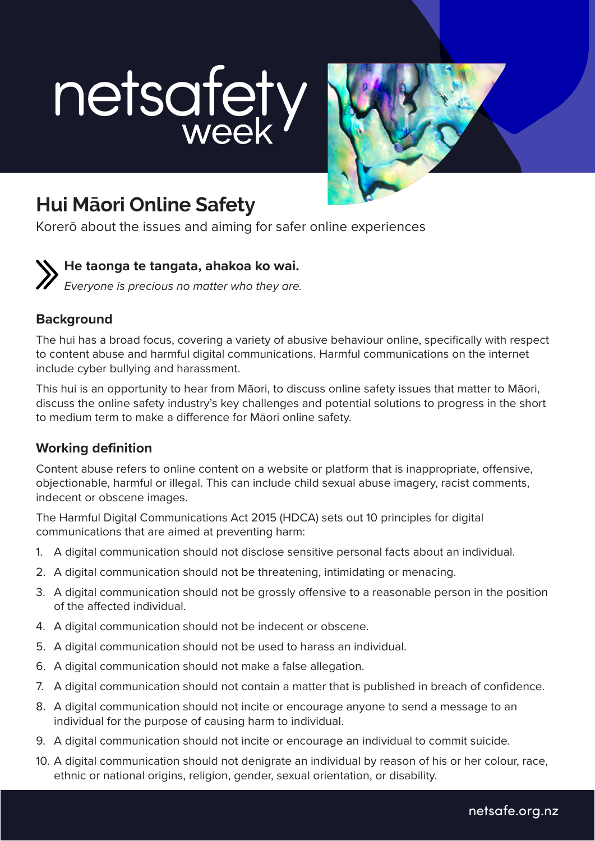# netsafety



# **Hui Māori Online Safety**

Korerō about the issues and aiming for safer online experiences

# **He taonga te tangata, ahakoa ko wai.**

*Everyone is precious no matter who they are.*

### **Background**

The hui has a broad focus, covering a variety of abusive behaviour online, specifically with respect to content abuse and harmful digital communications. Harmful communications on the internet include cyber bullying and harassment.

This hui is an opportunity to hear from Māori, to discuss online safety issues that matter to Māori, discuss the online safety industry's key challenges and potential solutions to progress in the short to medium term to make a difference for Māori online safety.

## **Working definition**

Content abuse refers to online content on a website or platform that is inappropriate, offensive, objectionable, harmful or illegal. This can include child sexual abuse imagery, racist comments, indecent or obscene images.

The Harmful Digital Communications Act 2015 (HDCA) sets out 10 principles for digital communications that are aimed at preventing harm:

- 1. A digital communication should not disclose sensitive personal facts about an individual.
- 2. A digital communication should not be threatening, intimidating or menacing.
- 3. A digital communication should not be grossly offensive to a reasonable person in the position of the affected individual.
- 4. A digital communication should not be indecent or obscene.
- 5. A digital communication should not be used to harass an individual.
- 6. A digital communication should not make a false allegation.
- 7. A digital communication should not contain a matter that is published in breach of confidence.
- 8. A digital communication should not incite or encourage anyone to send a message to an individual for the purpose of causing harm to individual.
- 9. A digital communication should not incite or encourage an individual to commit suicide.
- 10. A digital communication should not denigrate an individual by reason of his or her colour, race, ethnic or national origins, religion, gender, sexual orientation, or disability.